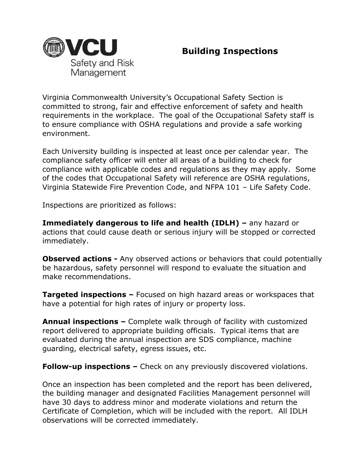

## **Building Inspections**

Virginia Commonwealth University's Occupational Safety Section is committed to strong, fair and effective enforcement of safety and health requirements in the workplace. The goal of the Occupational Safety staff is to ensure compliance with OSHA regulations and provide a safe working environment.

Each University building is inspected at least once per calendar year. The compliance safety officer will enter all areas of a building to check for compliance with applicable codes and regulations as they may apply. Some of the codes that Occupational Safety will reference are OSHA regulations, Virginia Statewide Fire Prevention Code, and NFPA 101 – Life Safety Code.

Inspections are prioritized as follows:

**Immediately dangerous to life and health (IDLH) –** any hazard or actions that could cause death or serious injury will be stopped or corrected immediately.

**Observed actions -** Any observed actions or behaviors that could potentially be hazardous, safety personnel will respond to evaluate the situation and make recommendations.

**Targeted inspections –** Focused on high hazard areas or workspaces that have a potential for high rates of injury or property loss.

**Annual inspections –** Complete walk through of facility with customized report delivered to appropriate building officials. Typical items that are evaluated during the annual inspection are SDS compliance, machine guarding, electrical safety, egress issues, etc.

**Follow-up inspections –** Check on any previously discovered violations.

Once an inspection has been completed and the report has been delivered, the building manager and designated Facilities Management personnel will have 30 days to address minor and moderate violations and return the Certificate of Completion, which will be included with the report. All IDLH observations will be corrected immediately.